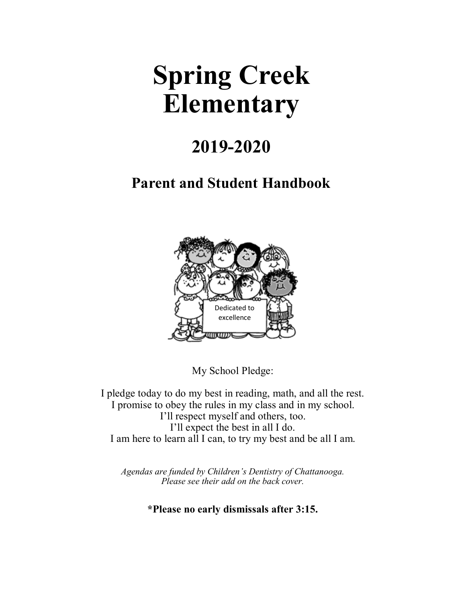# **Spring Creek Elementary**

## **2019-2020**

## **Parent and Student Handbook**



My School Pledge:

I pledge today to do my best in reading, math, and all the rest. I promise to obey the rules in my class and in my school. I'll respect myself and others, too. I'll expect the best in all I do. I am here to learn all I can, to try my best and be all I am.

*Agendas are funded by Children's Dentistry of Chattanooga. Please see their add on the back cover.*

**\*Please no early dismissals after 3:15.**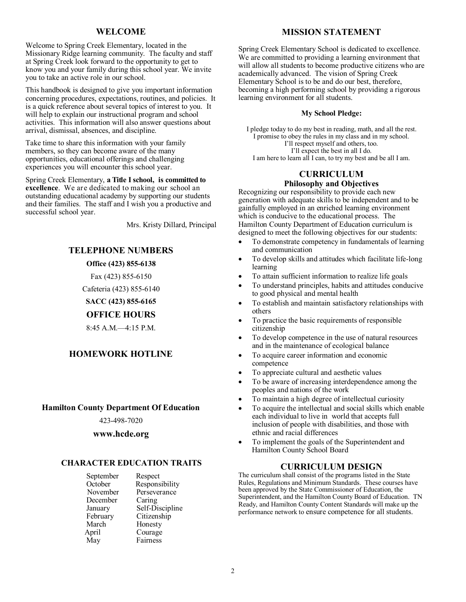## **WELCOME**

Welcome to Spring Creek Elementary, located in the Missionary Ridge learning community. The faculty and staff at Spring Creek look forward to the opportunity to get to know you and your family during this school year. We invite you to take an active role in our school.

This handbook is designed to give you important information concerning procedures, expectations, routines, and policies. It is a quick reference about several topics of interest to you. It will help to explain our instructional program and school activities. This information will also answer questions about arrival, dismissal, absences, and discipline.

Take time to share this information with your family members, so they can become aware of the many opportunities, educational offerings and challenging experiences you will encounter this school year.

Spring Creek Elementary, **a Title I school, is committed to excellence**. We are dedicated to making our school an outstanding educational academy by supporting our students and their families. The staff and I wish you a productive and successful school year.

Mrs. Kristy Dillard, Principal

## **TELEPHONE NUMBERS**

#### **Office (423) 855-6138**

Fax (423) 855-6150

Cafeteria (423) 855-6140

**SACC (423) 855-6165**

#### **OFFICE HOURS**

8:45 A.M.—4:15 P.M.

## **HOMEWORK HOTLINE**

#### **Hamilton County Department Of Education**

423-498-7020

## **www.hcde.org**

#### **CHARACTER EDUCATION TRAITS**

| Respect         |
|-----------------|
| Responsibility  |
| Perseverance    |
| Caring          |
| Self-Discipline |
| Citizenship     |
| Honesty         |
| Courage         |
| Fairness        |
|                 |

## **MISSION STATEMENT**

Spring Creek Elementary School is dedicated to excellence. We are committed to providing a learning environment that will allow all students to become productive citizens who are academically advanced. The vision of Spring Creek Elementary School is to be and do our best, therefore, becoming a high performing school by providing a rigorous learning environment for all students.

#### **My School Pledge:**

I pledge today to do my best in reading, math, and all the rest. I promise to obey the rules in my class and in my school. I'll respect myself and others, too. I'll expect the best in all I do. I am here to learn all I can, to try my best and be all I am.

## **CURRICULUM**

## **Philosophy and Objectives**

Recognizing our responsibility to provide each new generation with adequate skills to be independent and to be gainfully employed in an enriched learning environment which is conducive to the educational process. The Hamilton County Department of Education curriculum is designed to meet the following objectives for our students:

- To demonstrate competency in fundamentals of learning and communication
- To develop skills and attitudes which facilitate life-long learning
- To attain sufficient information to realize life goals
- To understand principles, habits and attitudes conducive to good physical and mental health
- To establish and maintain satisfactory relationships with others
- To practice the basic requirements of responsible citizenship
- To develop competence in the use of natural resources and in the maintenance of ecological balance
- To acquire career information and economic competence
- To appreciate cultural and aesthetic values
- To be aware of increasing interdependence among the peoples and nations of the work
- To maintain a high degree of intellectual curiosity
- To acquire the intellectual and social skills which enable each individual to live in world that accepts full inclusion of people with disabilities, and those with ethnic and racial differences
- To implement the goals of the Superintendent and Hamilton County School Board

## **CURRICULUM DESIGN**

The curriculum shall consist of the programs listed in the State Rules, Regulations and Minimum Standards. These courses have been approved by the State Commissioner of Education, the Superintendent, and the Hamilton County Board of Education. TN Ready, and Hamilton County Content Standards will make up the performance network to ensure competence for all students.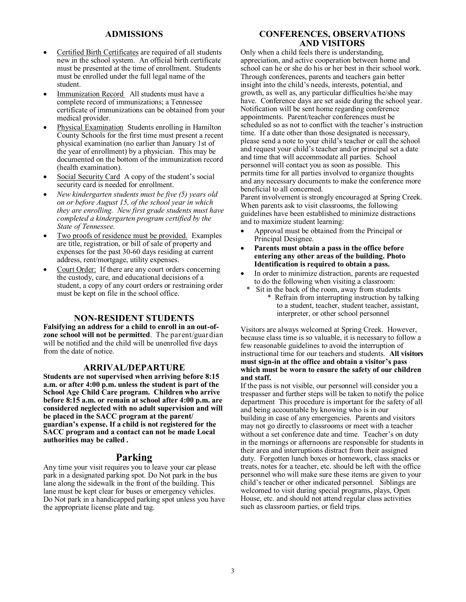## **ADMISSIONS**

- Certified Birth Certificates are required of all students new in the school system. An official birth certificate must be presented at the time of enrollment. Students must be enrolled under the full legal name of the student.
- Immunization Record All students must have a complete record of immunizations; a Tennessee certificate of immunizations can be obtained from your medical provider.
- Physical Examination Students enrolling in Hamilton County Schools for the first time must present a recent physical examination (no earlier than January 1st of the year of enrollment) by a physician. This may be documented on the bottom of the immunization record (health examination).
- Social Security Card A copy of the student's social security card is needed for enrollment.
- *New kindergarten students must be five (5) years old on or before August 15, of the school year in which they are enrolling. New first grade students must have completed a kindergarten program certified by the State of Tennessee.*
- Two proofs of residence must be provided. Examples are title, registration, or bill of sale of property and expenses for the past 30-60 days residing at current address, rent/mortgage, utility expenses.
- Court Order: If there are any court orders concerning the custody, care, and educational decisions of a student, a copy of any court orders or restraining order must be kept on file in the school office.

#### **NON-RESIDENT STUDENTS**

**Falsifying an address for a child to enroll in an out-ofzone school will not be permitted**. The parent/guardian will be notified and the child will be unenrolled five days from the date of notice.

#### **ARRIVAL/DEPARTURE**

**Students are not supervised when arriving before 8:15 a.m. or after 4:00 p.m. unless the student is part of the School Age Child Care program. Children who arrive before 8:15 a.m. or remain at school after 4:00 p.m. are considered neglected with no adult supervision and will be placed in the SACC program at the parent/ guardian's expense. If a child is not registered for the SACC program and a contact can not be made Local authorities may be called .**

#### **Parking**

Any time your visit requires you to leave your car please park in a designated parking spot. Do Not park in the bus lane along the sidewalk in the front of the building. This lane must be kept clear for buses or emergency vehicles. Do Not park in a handicapped parking spot unless you have the appropriate license plate and tag.

## **CONFERENCES, OBSERVATIONS AND VISITORS**

Only when a child feels there is understanding, appreciation, and active cooperation between home and school can he or she do his or her best in their school work. Through conferences, parents and teachers gain better insight into the child's needs, interests, potential, and growth, as well as, any particular difficulties he/she may have. Conference days are set aside during the school year. Notification will be sent home regarding conference appointments. Parent/teacher conferences must be scheduled so as not to conflict with the teacher's instruction time. If a date other than those designated is necessary, please send a note to your child's teacher or call the school and request your child's teacher and/or principal set a date and time that will accommodate all parties. School personnel will contact you as soon as possible. This permits time for all parties involved to organize thoughts and any necessary documents to make the conference more beneficial to all concerned.

Parent involvement is strongly encouraged at Spring Creek. When parents ask to visit classrooms, the following guidelines have been established to minimize distractions and to maximize student learning:

- Approval must be obtained from the Principal or Principal Designee.
- **Parents must obtain a pass in the office before entering any other areas of the building. Photo Identification is required to obtain a pass.**
- In order to minimize distraction, parents are requested to do the following when visiting a classroom:
	- Sit in the back of the room, away from students \* Refrain from interrupting instruction by talking to a student, teacher, student teacher, assistant, interpreter, or other school personnel

Visitors are always welcomed at Spring Creek. However, because class time is so valuable, it is necessary to follow a few reasonable guidelines to avoid the interruption of instructional time for our teachers and students. **All visitors must sign-in at the office and obtain a visitor's pass which must be worn to ensure the safety of our children and staff.**

If the pass is not visible, our personnel will consider you a trespasser and further steps will be taken to notify the police department This procedure is important for the safety of all and being accountable by knowing who is in our building in case of any emergencies. Parents and visitors may not go directly to classrooms or meet with a teacher without a set conference date and time. Teacher's on duty in the mornings or afternoons are responsible for students in their area and interruptions distract from their assigned duty. Forgotten lunch boxes or homework, class snacks or treats, notes for a teacher, etc. should be left with the office personnel who will make sure these items are given to your child's teacher or other indicated personnel. Siblings are welcomed to visit during special programs, plays, Open House, etc. and should not attend regular class activities such as classroom parties, or field trips.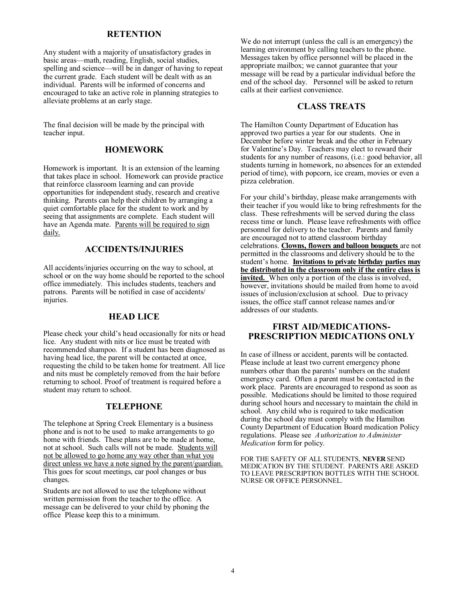## **RETENTION**

Any student with a majority of unsatisfactory grades in basic areas—math, reading, English, social studies, spelling and science—will be in danger of having to repeat the current grade. Each student will be dealt with as an individual. Parents will be informed of concerns and encouraged to take an active role in planning strategies to alleviate problems at an early stage.

The final decision will be made by the principal with teacher input.

## **HOMEWORK**

Homework is important. It is an extension of the learning that takes place in school. Homework can provide practice that reinforce classroom learning and can provide opportunities for independent study, research and creative thinking. Parents can help their children by arranging a quiet comfortable place for the student to work and by seeing that assignments are complete. Each student will have an Agenda mate. Parents will be required to sign daily.

#### **ACCIDENTS/INJURIES**

All accidents/injuries occurring on the way to school, at school or on the way home should be reported to the school office immediately. This includes students, teachers and patrons. Parents will be notified in case of accidents/ injuries.

#### **HEAD LICE**

Please check your child's head occasionally for nits or head lice. Any student with nits or lice must be treated with recommended shampoo. If a student has been diagnosed as having head lice, the parent will be contacted at once, requesting the child to be taken home for treatment. All lice and nits must be completely removed from the hair before returning to school. Proof of treatment is required before a student may return to school.

## **TELEPHONE**

The telephone at Spring Creek Elementary is a business phone and is not to be used to make arrangements to go home with friends. These plans are to be made at home, not at school. Such calls will not be made. Students will not be allowed to go home any way other than what you direct unless we have a note signed by the parent/guardian. This goes for scout meetings, car pool changes or bus changes.

Students are not allowed to use the telephone without written permission from the teacher to the office. A message can be delivered to your child by phoning the office Please keep this to a minimum.

We do not interrupt (unless the call is an emergency) the learning environment by calling teachers to the phone. Messages taken by office personnel will be placed in the appropriate mailbox; we cannot guarantee that your message will be read by a particular individual before the end of the school day. Personnel will be asked to return calls at their earliest convenience.

## **CLASS TREATS**

The Hamilton County Department of Education has approved two parties a year for our students. One in December before winter break and the other in February for Valentine's Day. Teachers may elect to reward their students for any number of reasons, (i.e.: good behavior, all students turning in homework, no absences for an extended period of time), with popcorn, ice cream, movies or even a pizza celebration.

For your child's birthday, please make arrangements with their teacher if you would like to bring refreshments for the class. These refreshments will be served during the class recess time or lunch. Please leave refreshments with office personnel for delivery to the teacher. Parents and family are encouraged not to attend classroom birthday celebrations. **Clowns, flowers and balloon bouquets** are not permitted in the classrooms and delivery should be to the student's home. **Invitations to private birthday parties may be distributed in the classroom only if the entire class is**  invited. When only a portion of the class is involved, however, invitations should be mailed from home to avoid issues of inclusion/exclusion at school. Due to privacy issues, the office staff cannot release names and/or addresses of our students.

## **FIRST AID/MEDICATIONS-PRESCRIPTION MEDICATIONS ONLY**

In case of illness or accident, parents will be contacted. Please include at least two current emergency phone numbers other than the parents' numbers on the student emergency card. Often a parent must be contacted in the work place. Parents are encouraged to respond as soon as possible. Medications should be limited to those required during school hours and necessary to maintain the child in school. Any child who is required to take medication during the school day must comply with the Hamilton County Department of Education Board medication Policy regulations. Please see *Authorization to Administer Medication* form for policy.

FOR THE SAFETY OF ALL STUDENTS, **NEVER** SEND MEDICATION BY THE STUDENT. PARENTS ARE ASKED TO LEAVE PRESCRIPTION BOTTLES WITH THE SCHOOL NURSE OR OFFICE PERSONNEL.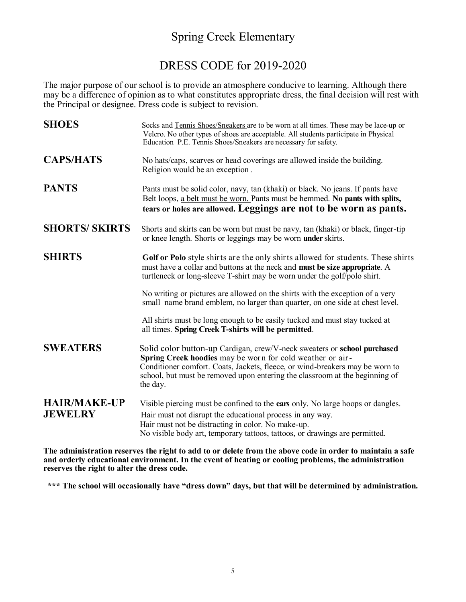## Spring Creek Elementary

## DRESS CODE for 2019-2020

The major purpose of our school is to provide an atmosphere conducive to learning. Although there may be a difference of opinion as to what constitutes appropriate dress, the final decision will rest with the Principal or designee. Dress code is subject to revision.

| <b>SHOES</b>                          | Socks and Tennis Shoes/Sneakers are to be worn at all times. These may be lace-up or<br>Velcro. No other types of shoes are acceptable. All students participate in Physical<br>Education P.E. Tennis Shoes/Sneakers are necessary for safety.                                                                   |  |  |
|---------------------------------------|------------------------------------------------------------------------------------------------------------------------------------------------------------------------------------------------------------------------------------------------------------------------------------------------------------------|--|--|
| <b>CAPS/HATS</b>                      | No hats/caps, scarves or head coverings are allowed inside the building.<br>Religion would be an exception.                                                                                                                                                                                                      |  |  |
| <b>PANTS</b>                          | Pants must be solid color, navy, tan (khaki) or black. No jeans. If pants have<br>Belt loops, a belt must be worn. Pants must be hemmed. No pants with splits,<br>tears or holes are allowed. Leggings are not to be worn as pants.                                                                              |  |  |
| <b>SHORTS/ SKIRTS</b>                 | Shorts and skirts can be worn but must be navy, tan (khaki) or black, finger-tip<br>or knee length. Shorts or leggings may be worn <b>under</b> skirts.                                                                                                                                                          |  |  |
| <b>SHIRTS</b>                         | Golf or Polo style shirts are the only shirts allowed for students. These shirts<br>must have a collar and buttons at the neck and must be size appropriate. A<br>turtleneck or long-sleeve T-shirt may be worn under the golf/polo shirt.                                                                       |  |  |
|                                       | No writing or pictures are allowed on the shirts with the exception of a very<br>small name brand emblem, no larger than quarter, on one side at chest level.                                                                                                                                                    |  |  |
|                                       | All shirts must be long enough to be easily tucked and must stay tucked at<br>all times. Spring Creek T-shirts will be permitted.                                                                                                                                                                                |  |  |
| <b>SWEATERS</b>                       | Solid color button-up Cardigan, crew/V-neck sweaters or school purchased<br>Spring Creek hoodies may be worn for cold weather or air-<br>Conditioner comfort. Coats, Jackets, fleece, or wind-breakers may be worn to<br>school, but must be removed upon entering the classroom at the beginning of<br>the day. |  |  |
| <b>HAIR/MAKE-UP</b><br><b>JEWELRY</b> | Visible piercing must be confined to the ears only. No large hoops or dangles.<br>Hair must not disrupt the educational process in any way.<br>Hair must not be distracting in color. No make-up.<br>No visible body art, temporary tattoos, tattoos, or drawings are permitted.                                 |  |  |

**The administration reserves the right to add to or delete from the above code in order to maintain a safe and orderly educational environment. In the event of heating or cooling problems, the administration reserves the right to alter the dress code.**

**\*\*\* The school will occasionally have "dress down" days, but that will be determined by administration.**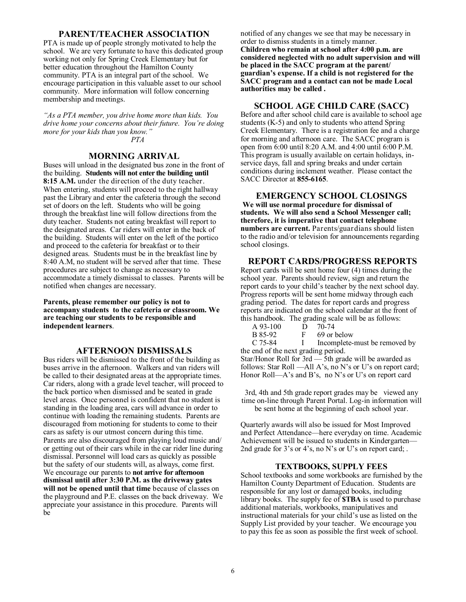#### **PARENT/TEACHER ASSOCIATION**

PTA is made up of people strongly motivated to help the school. We are very fortunate to have this dedicated group working not only for Spring Creek Elementary but for better education throughout the Hamilton County community. PTA is an integral part of the school. We encourage participation in this valuable asset to our school community. More information will follow concerning membership and meetings.

*"As a PTA member, you drive home more than kids. You drive home your concerns about their future. You're doing more for your kids than you know." PTA*

#### **MORNING ARRIVAL**

Buses will unload in the designated bus zone in the front of the building. **Students will not enter the building until 8:15 A.M.** under the direction of the duty teacher. When entering, students will proceed to the right hallway past the Library and enter the cafeteria through the second set of doors on the left. Students who will be going through the breakfast line will follow directions from the duty teacher. Students not eating breakfast will report to the designated areas. Car riders will enter in the back of the building. Students will enter on the left of the portico and proceed to the cafeteria for breakfast or to their designed areas. Students must be in the breakfast line by 8:40 A.M, no student will be served after that time. These procedures are subject to change as necessary to accommodate a timely dismissal to classes. Parents will be notified when changes are necessary.

**Parents, please remember our policy is not to accompany students to the cafeteria or classroom. We are teaching our students to be responsible and independent learners**.

#### **AFTERNOON DISMISSALS**

Bus riders will be dismissed to the front of the building as buses arrive in the afternoon. Walkers and van riders will be called to their designated areas at the appropriate times. Car riders, along with a grade level teacher, will proceed to the back portico when dismissed and be seated in grade level areas. Once personnel is confident that no student is standing in the loading area, cars will advance in order to continue with loading the remaining students. Parents are discouraged from motioning for students to come to their cars as safety is our utmost concern during this time. Parents are also discouraged from playing loud music and/ or getting out of their cars while in the car rider line during dismissal. Personnel will load cars as quickly as possible but the safety of our students will, as always, come first. We encourage our parents to **not arrive for afternoon dismissal until after 3:30 P.M. as the driveway gates will not be opened until that time** because of classes on the playground and P.E. classes on the back driveway. We appreciate your assistance in this procedure. Parents will be

notified of any changes we see that may be necessary in order to dismiss students in a timely manner. **Children who remain at school after 4:00 p.m. are considered neglected with no adult supervision and will be placed in the SACC program at the parent/ guardian's expense. If a child is not registered for the SACC program and a contact can not be made Local authorities may be called .**

#### **SCHOOL AGE CHILD CARE (SACC)**

Before and after school child care is available to school age students (K-5) and only to students who attend Spring Creek Elementary. There is a registration fee and a charge for morning and afternoon care. The SACC program is open from 6:00 until 8:20 A.M. and 4:00 until 6:00 P.M. This program is usually available on certain holidays, inservice days, fall and spring breaks and under certain conditions during inclement weather. Please contact the SACC Director at **855-6165**.

**EMERGENCY SCHOOL CLOSINGS We will use normal procedure for dismissal of students. We will also send a School Messenger call; therefore, it is imperative that contact telephone numbers are current.** Parents/guardians should listen to the radio and/or television for announcements regarding school closings.

### **REPORT CARDS/PROGRESS REPORTS**

Report cards will be sent home four (4) times during the school year. Parents should review, sign and return the report cards to your child's teacher by the next school day. Progress reports will be sent home midway through each grading period. The dates for report cards and progress reports are indicated on the school calendar at the front of this handbook. The grading scale will be as follows:

| $A$ 93-100 | D $70-74$                     |
|------------|-------------------------------|
| B 85-92    | 69 or below                   |
| C 75-84    | Incomplete-must be removed by |

the end of the next grading period.

Star/Honor Roll for 3rd — 5th grade will be awarded as follows: Star Roll —All A's, no N's or U's on report card; Honor Roll—A's and B's, no N's or U's on report card

3rd, 4th and 5th grade report grades may be viewed any time on-line through Parent Portal. Log-in information will be sent home at the beginning of each school year.

Quarterly awards will also be issued for Most Improved and Perfect Attendance—here everyday on time. Academic Achievement will be issued to students in Kindergarten— 2nd grade for 3's or 4's, no N's or U's on report card; .

#### **TEXTBOOKS, SUPPLY FEES**

School textbooks and some workbooks are furnished by the Hamilton County Department of Education. Students are responsible for any lost or damaged books, including library books. The supply fee of **\$TBA** is used to purchase additional materials, workbooks, manipulatives and instructional materials for your child's use as listed on the Supply List provided by your teacher. We encourage you to pay this fee as soon as possible the first week of school.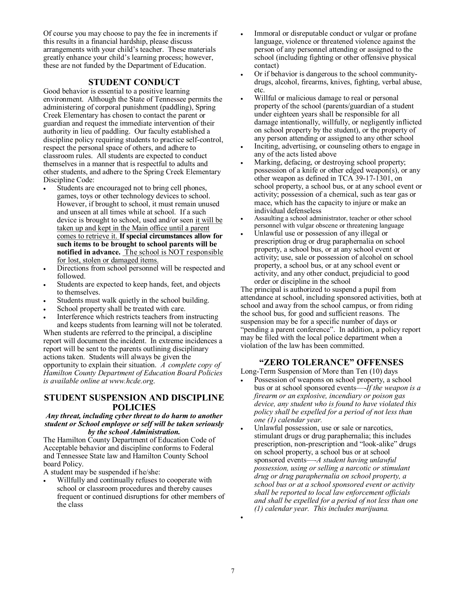Of course you may choose to pay the fee in increments if this results in a financial hardship, please discuss arrangements with your child's teacher. These materials greatly enhance your child's learning process; however, these are not funded by the Department of Education.

#### **STUDENT CONDUCT**

Good behavior is essential to a positive learning environment. Although the State of Tennessee permits the administering of corporal punishment (paddling), Spring Creek Elementary has chosen to contact the parent or guardian and request the immediate intervention of their authority in lieu of paddling. Our faculty established a discipline policy requiring students to practice self-control, respect the personal space of others, and adhere to classroom rules. All students are expected to conduct themselves in a manner that is respectful to adults and other students, and adhere to the Spring Creek Elementary Discipline Code:

- Students are encouraged not to bring cell phones, games, toys or other technology devices to school. However, if brought to school, it must remain unused and unseen at all times while at school. If a such device is brought to school, used and/or seen it will be taken up and kept in the Main office until a parent comes to retrieve it. **If special circumstances allow for such items to be brought to school parents will be notified in advance.** The school is NOT responsible for lost, stolen or damaged items.
- Directions from school personnel will be respected and followed.
- Students are expected to keep hands, feet, and objects to themselves.
- Students must walk quietly in the school building.
- School property shall be treated with care.
- Interference which restricts teachers from instructing and keeps students from learning will not be tolerated.

When students are referred to the principal, a discipline report will document the incident. In extreme incidences a report will be sent to the parents outlining disciplinary actions taken. Students will always be given the opportunity to explain their situation. *A complete copy of Hamilton County Department of Education Board Policies is available online at www.hcde.org*.

### **STUDENT SUSPENSION AND DISCIPLINE POLICIES**

#### *Any threat, including cyber threat to do harm to another student or School employee or self will be taken seriously by the school Administration.*

The Hamilton County Department of Education Code of Acceptable behavior and discipline conforms to Federal and Tennessee State law and Hamilton County School board Policy.

A student may be suspended if he/she:

 Willfully and continually refuses to cooperate with school or classroom procedures and thereby causes frequent or continued disruptions for other members of the class

- Immoral or disreputable conduct or vulgar or profane language, violence or threatened violence against the person of any personnel attending or assigned to the school (including fighting or other offensive physical contact)
- Or if behavior is dangerous to the school communitydrugs, alcohol, firearms, knives, fighting, verbal abuse, etc.
- Willful or malicious damage to real or personal property of the school (parents/guardian of a student under eighteen years shall be responsible for all damage intentionally, willfully, or negligently inflicted on school property by the student), or the property of any person attending or assigned to any other school
- Inciting, advertising, or counseling others to engage in any of the acts listed above
- Marking, defacing, or destroying school property; possession of a knife or other edged weapon(s), or any other weapon as defined in TCA 39-17-1301, on school property, a school bus, or at any school event or activity; possession of a chemical, such as tear gas or mace, which has the capacity to injure or make an individual defenseless
- Assaulting a school administrator, teacher or other school personnel with vulgar obscene or threatening language
- Unlawful use or possession of any illegal or prescription drug or drug paraphernalia on school property, a school bus, or at any school event or activity; use, sale or possession of alcohol on school property, a school bus, or at any school event or activity, and any other conduct, prejudicial to good order or discipline in the school

The principal is authorized to suspend a pupil from attendance at school, including sponsored activities, both at school and away from the school campus, or from riding the school bus, for good and sufficient reasons. The suspension may be for a specific number of days or "pending a parent conference". In addition, a policy report may be filed with the local police department when a violation of the law has been committed.

## **"ZERO TOLERANCE" OFFENSES**

Long-Term Suspension of More than Ten (10) days

- Possession of weapons on school property, a school bus or at school sponsored events—-*If the weapon is a firearm or an explosive, incendiary or poison gas device, any student who is found to have violated this policy shall be expelled for a period of not less than one (1) calendar year.*
- Unlawful possession, use or sale or narcotics, stimulant drugs or drug paraphernalia; this includes prescription, non-prescription and "look-alike" drugs on school property, a school bus or at school sponsored events—*-A student having unlawful possession, using or selling a narcotic or stimulant drug or drug paraphernalia on school property, a school bus or at a school sponsored event or activity shall be reported to local law enforcement officials and shall be expelled for a period of not less than one (1) calendar year. This includes marijuana.*

 $\bullet$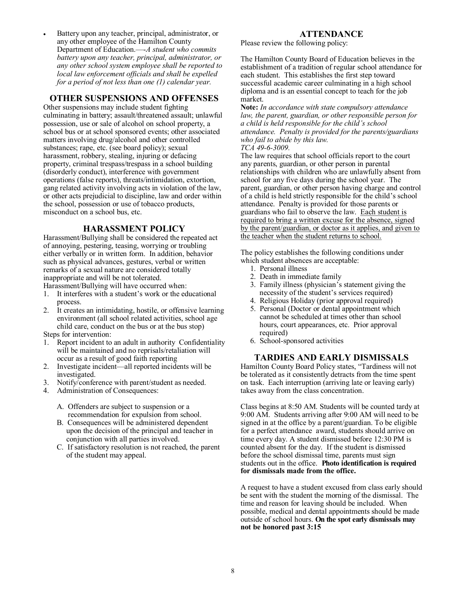Battery upon any teacher, principal, administrator, or any other employee of the Hamilton County Department of Education.—-*A student who commits battery upon any teacher, principal, administrator, or any other school system employee shall be reported to local law enforcement officials and shall be expelled for a period of not less than one (1) calendar year.*

## **OTHER SUSPENSIONS AND OFFENSES**

Other suspensions may include student fighting culminating in battery; assault/threatened assault; unlawful possession, use or sale of alcohol on school property, a school bus or at school sponsored events; other associated matters involving drug/alcohol and other controlled substances; rape, etc. (see board policy); sexual harassment, robbery, stealing, injuring or defacing property, criminal trespass/trespass in a school building (disorderly conduct), interference with government operations (false reports), threats/intimidation, extortion, gang related activity involving acts in violation of the law, or other acts prejudicial to discipline, law and order within the school, possession or use of tobacco products, misconduct on a school bus, etc.

#### **HARASSMENT POLICY**

Harassment/Bullying shall be considered the repeated act of annoying, pestering, teasing, worrying or troubling either verbally or in written form. In addition, behavior such as physical advances, gestures, verbal or written remarks of a sexual nature are considered totally inappropriate and will be not tolerated.

Harassment/Bullying will have occurred when:

- 1. It interferes with a student's work or the educational process.
- 2. It creates an intimidating, hostile, or offensive learning environment (all school related activities, school age child care, conduct on the bus or at the bus stop) Steps for intervention:
- 
- 1. Report incident to an adult in authority Confidentiality will be maintained and no reprisals/retaliation will occur as a result of good faith reporting
- 2. Investigate incident—all reported incidents will be investigated.
- 3. Notify/conference with parent/student as needed.
- 4. Administration of Consequences:
	- A. Offenders are subject to suspension or a recommendation for expulsion from school.
	- B. Consequences will be administered dependent upon the decision of the principal and teacher in conjunction with all parties involved.
	- C. If satisfactory resolution is not reached, the parent of the student may appeal.

## **ATTENDANCE**

Please review the following policy:

The Hamilton County Board of Education believes in the establishment of a tradition of regular school attendance for each student. This establishes the first step toward successful academic career culminating in a high school diploma and is an essential concept to teach for the job market.

**Note:** *In accordance with state compulsory attendance law, the parent, guardian, or other responsible person for a child is held responsible for the child's school attendance. Penalty is provided for the parents/guardians who fail to abide by this law. TCA 49-6-3009.*

The law requires that school officials report to the court any parents, guardian, or other person in parental relationships with children who are unlawfully absent from school for any five days during the school year. The parent, guardian, or other person having charge and control of a child is held strictly responsible for the child's school attendance. Penalty is provided for those parents or guardians who fail to observe the law. Each student is required to bring a written excuse for the absence, signed by the parent/guardian, or doctor as it applies, and given to the teacher when the student returns to school.

The policy establishes the following conditions under which student absences are acceptable:

- 1. Personal illness
- 2. Death in immediate family
- 3. Family illness (physician's statement giving the necessity of the student's services required)
- 4. Religious Holiday (prior approval required)
- 5. Personal (Doctor or dental appointment which cannot be scheduled at times other than school hours, court appearances, etc. Prior approval required)
- 6. School-sponsored activities

#### **TARDIES AND EARLY DISMISSALS**

Hamilton County Board Policy states, "Tardiness will not be tolerated as it consistently detracts from the time spent on task. Each interruption (arriving late or leaving early) takes away from the class concentration.

Class begins at 8:50 AM. Students will be counted tardy at 9:00 AM. Students arriving after 9:00 AM will need to be signed in at the office by a parent/guardian. To be eligible for a perfect attendance award, students should arrive on time every day. A student dismissed before 12:30 PM is counted absent for the day. If the student is dismissed before the school dismissal time, parents must sign students out in the office. **Photo identification is required for dismissals made from the office.**

A request to have a student excused from class early should be sent with the student the morning of the dismissal. The time and reason for leaving should be included. When possible, medical and dental appointments should be made outside of school hours. **On the spot early dismissals may not be honored past 3:15**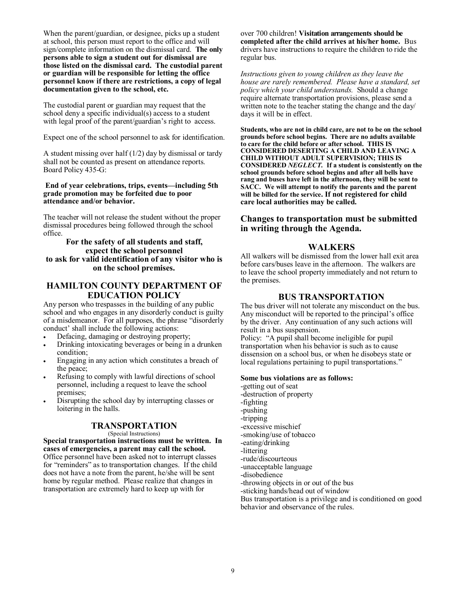When the parent/guardian, or designee, picks up a student at school, this person must report to the office and will sign/complete information on the dismissal card. **The only persons able to sign a student out for dismissal are those listed on the dismissal card. The custodial parent or guardian will be responsible for letting the office personnel know if there are restrictions, a copy of legal documentation given to the school, etc.**

The custodial parent or guardian may request that the school deny a specific individual(s) access to a student with legal proof of the parent/guardian's right to access.

Expect one of the school personnel to ask for identification.

A student missing over half  $(1/2)$  day by dismissal or tardy shall not be counted as present on attendance reports. Board Policy 435-G:

#### **End of year celebrations, trips, events—including 5th grade promotion may be forfeited due to poor attendance and/or behavior.**

The teacher will not release the student without the proper dismissal procedures being followed through the school office.

#### **For the safety of all students and staff, expect the school personnel to ask for valid identification of any visitor who is on the school premises.**

## **HAMILTON COUNTY DEPARTMENT OF EDUCATION POLICY**

Any person who trespasses in the building of any public school and who engages in any disorderly conduct is guilty of a misdemeanor. For all purposes, the phrase "disorderly conduct' shall include the following actions:

- Defacing, damaging or destroying property;
- Drinking intoxicating beverages or being in a drunken condition;
- Engaging in any action which constitutes a breach of the peace;
- Refusing to comply with lawful directions of school personnel, including a request to leave the school premises;
- Disrupting the school day by interrupting classes or loitering in the halls.

## **TRANSPORTATION**

(Special Instructions)

**Special transportation instructions must be written. In cases of emergencies, a parent may call the school.**  Office personnel have been asked not to interrupt classes for "reminders" as to transportation changes. If the child does not have a note from the parent, he/she will be sent home by regular method. Please realize that changes in transportation are extremely hard to keep up with for

over 700 children! **Visitation arrangements should be completed after the child arrives at his/her home.** Bus drivers have instructions to require the children to ride the regular bus.

*Instructions given to young children as they leave the house are rarely remembered. Please have a standard, set policy which your child understands.* Should a change require alternate transportation provisions, please send a written note to the teacher stating the change and the day/ days it will be in effect.

**Students, who are not in child care, are not to be on the school grounds before school begins. There are no adults available to care for the child before or after school. THIS IS CONSIDERED DESERTING A CHILD AND LEAVING A CHILD WITHOUT ADULT SUPERVISION; THIS IS CONSIDERED** *NEGLECT.* **If a student is consistently on the school grounds before school begins and after all bells have rang and buses have left in the afternoon, they will be sent to SACC. We will attempt to notify the parents and the parent will be billed for the service. If not registered for child care local authorities may be called.**

## **Changes to transportation must be submitted in writing through the Agenda.**

## **WALKERS**

All walkers will be dismissed from the lower hall exit area before cars/buses leave in the afternoon. The walkers are to leave the school property immediately and not return to the premises.

## **BUS TRANSPORTATION**

The bus driver will not tolerate any misconduct on the bus. Any misconduct will be reported to the principal's office by the driver. Any continuation of any such actions will result in a bus suspension.

Policy: "A pupil shall become ineligible for pupil transportation when his behavior is such as to cause dissension on a school bus, or when he disobeys state or local regulations pertaining to pupil transportations."

#### **Some bus violations are as follows:**

-getting out of seat -destruction of property -fighting -pushing -tripping -excessive mischief -smoking/use of tobacco -eating/drinking -littering -rude/discourteous -unacceptable language -disobedience -throwing objects in or out of the bus -sticking hands/head out of window Bus transportation is a privilege and is conditioned on good behavior and observance of the rules.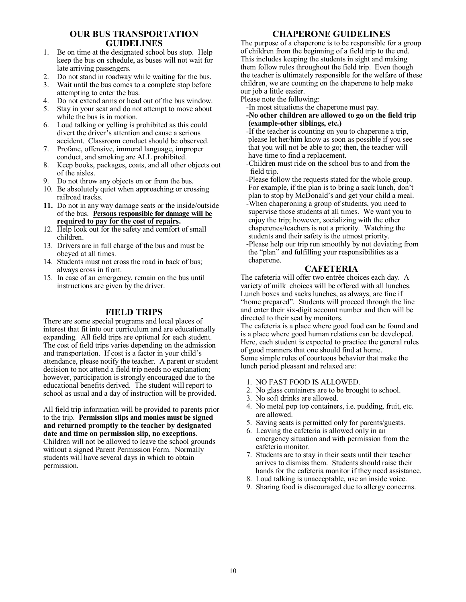## **OUR BUS TRANSPORTATION GUIDELINES**

- 1. Be on time at the designated school bus stop. Help keep the bus on schedule, as buses will not wait for late arriving passengers.
- 2. Do not stand in roadway while waiting for the bus.
- 3. Wait until the bus comes to a complete stop before attempting to enter the bus.
- 4. Do not extend arms or head out of the bus window.
- 5. Stay in your seat and do not attempt to move about while the bus is in motion.
- 6. Loud talking or yelling is prohibited as this could divert the driver's attention and cause a serious accident. Classroom conduct should be observed.
- 7. Profane, offensive, immoral language, improper conduct, and smoking are ALL prohibited.
- 8. Keep books, packages, coats, and all other objects out of the aisles.
- 9. Do not throw any objects on or from the bus.
- 10. Be absolutely quiet when approaching or crossing railroad tracks.
- **11.** Do not in any way damage seats or the inside/outside of the bus. **Persons responsible for damage will be required to pay for the cost of repairs.**
- 12. Help look out for the safety and comfort of small children.
- 13. Drivers are in full charge of the bus and must be obeyed at all times.
- 14. Students must not cross the road in back of bus; always cross in front.
- 15. In case of an emergency, remain on the bus until instructions are given by the driver.

## **FIELD TRIPS**

There are some special programs and local places of interest that fit into our curriculum and are educationally expanding. All field trips are optional for each student. The cost of field trips varies depending on the admission and transportation. If cost is a factor in your child's attendance, please notify the teacher. A parent or student decision to not attend a field trip needs no explanation; however, participation is strongly encouraged due to the educational benefits derived. The student will report to school as usual and a day of instruction will be provided.

All field trip information will be provided to parents prior to the trip. **Permission slips and monies must be signed and returned promptly to the teacher by designated date and time on permission slip, no exceptions**. Children will not be allowed to leave the school grounds without a signed Parent Permission Form. Normally students will have several days in which to obtain permission.

## **CHAPERONE GUIDELINES**

The purpose of a chaperone is to be responsible for a group of children from the beginning of a field trip to the end. This includes keeping the students in sight and making them follow rules throughout the field trip. Even though the teacher is ultimately responsible for the welfare of these children, we are counting on the chaperone to help make our job a little easier.

Please note the following:

- -In most situations the chaperone must pay.
- **-No other children are allowed to go on the field trip (example-other siblings, etc.)**

 -If the teacher is counting on you to chaperone a trip, please let her/him know as soon as possible if you see that you will not be able to go; then, the teacher will have time to find a replacement.

 -Children must ride on the school bus to and from the field trip.

 -Please follow the requests stated for the whole group. For example, if the plan is to bring a sack lunch, don't plan to stop by McDonald's and get your child a meal. -When chaperoning a group of students, you need to supervise those students at all times. We want you to enjoy the trip; however, socializing with the other chaperones/teachers is not a priority. Watching the students and their safety is the utmost priority. -Please help our trip run smoothly by not deviating from the "plan" and fulfilling your responsibilities as a chaperone.

## **CAFETERIA**

The cafeteria will offer two entrée choices each day. A variety of milk choices will be offered with all lunches. Lunch boxes and sacks lunches, as always, are fine if "home prepared". Students will proceed through the line and enter their six-digit account number and then will be directed to their seat by monitors.

The cafeteria is a place where good food can be found and is a place where good human relations can be developed. Here, each student is expected to practice the general rules of good manners that one should find at home. Some simple rules of courteous behavior that make the lunch period pleasant and relaxed are:

- 1. NO FAST FOOD IS ALLOWED.
- 2. No glass containers are to be brought to school.
- 3. No soft drinks are allowed.
- 4. No metal pop top containers, i.e. pudding, fruit, etc. are allowed.
- 5. Saving seats is permitted only for parents/guests.
- 6. Leaving the cafeteria is allowed only in an emergency situation and with permission from the cafeteria monitor.
- 7. Students are to stay in their seats until their teacher arrives to dismiss them. Students should raise their hands for the cafeteria monitor if they need assistance.
- 8. Loud talking is unacceptable, use an inside voice.
- 9. Sharing food is discouraged due to allergy concerns.